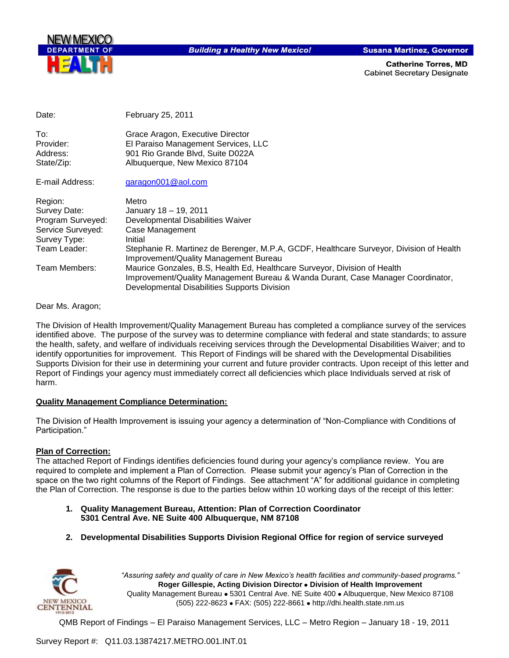

**Building a Healthy New Mexico!** 

**Susana Martinez, Governor** 

**Catherine Torres, MD Cabinet Secretary Designate** 

| Stephanie R. Martinez de Berenger, M.P.A, GCDF, Healthcare Surveyor, Division of Health |
|-----------------------------------------------------------------------------------------|
| Improvement/Quality Management Bureau & Wanda Durant, Case Manager Coordinator,         |
|                                                                                         |

Dear Ms. Aragon;

The Division of Health Improvement/Quality Management Bureau has completed a compliance survey of the services identified above. The purpose of the survey was to determine compliance with federal and state standards; to assure the health, safety, and welfare of individuals receiving services through the Developmental Disabilities Waiver; and to identify opportunities for improvement. This Report of Findings will be shared with the Developmental Disabilities Supports Division for their use in determining your current and future provider contracts. Upon receipt of this letter and Report of Findings your agency must immediately correct all deficiencies which place Individuals served at risk of harm.

#### **Quality Management Compliance Determination:**

The Division of Health Improvement is issuing your agency a determination of "Non-Compliance with Conditions of Participation."

#### **Plan of Correction:**

The attached Report of Findings identifies deficiencies found during your agency"s compliance review. You are required to complete and implement a Plan of Correction. Please submit your agency"s Plan of Correction in the space on the two right columns of the Report of Findings. See attachment "A" for additional guidance in completing the Plan of Correction. The response is due to the parties below within 10 working days of the receipt of this letter:

- **1. Quality Management Bureau, Attention: Plan of Correction Coordinator 5301 Central Ave. NE Suite 400 Albuquerque, NM 87108**
- **2. Developmental Disabilities Supports Division Regional Office for region of service surveyed**



*"Assuring safety and quality of care in New Mexico's health facilities and community-based programs."* **Roger Gillespie, Acting Division Director Division of Health Improvement**  Quality Management Bureau • 5301 Central Ave. NE Suite 400 • Albuquerque, New Mexico 87108 (505) 222-8623 FAX: (505) 222-8661 http://dhi.health.state.nm.us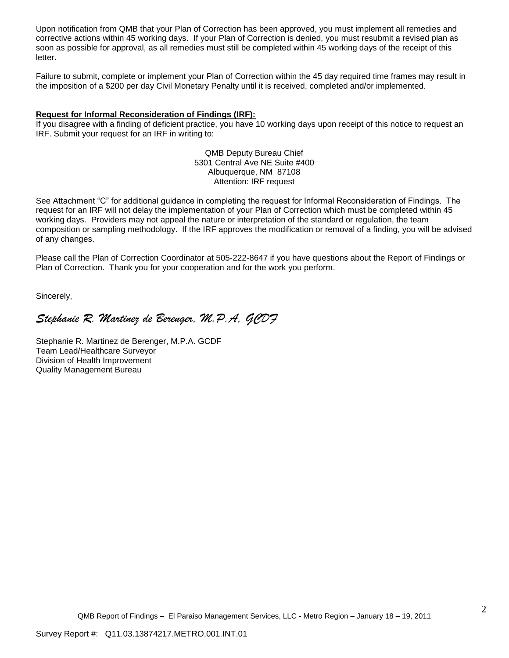Upon notification from QMB that your Plan of Correction has been approved, you must implement all remedies and corrective actions within 45 working days. If your Plan of Correction is denied, you must resubmit a revised plan as soon as possible for approval, as all remedies must still be completed within 45 working days of the receipt of this letter.

Failure to submit, complete or implement your Plan of Correction within the 45 day required time frames may result in the imposition of a \$200 per day Civil Monetary Penalty until it is received, completed and/or implemented.

#### **Request for Informal Reconsideration of Findings (IRF):**

If you disagree with a finding of deficient practice, you have 10 working days upon receipt of this notice to request an IRF. Submit your request for an IRF in writing to:

> QMB Deputy Bureau Chief 5301 Central Ave NE Suite #400 Albuquerque, NM 87108 Attention: IRF request

See Attachment "C" for additional guidance in completing the request for Informal Reconsideration of Findings. The request for an IRF will not delay the implementation of your Plan of Correction which must be completed within 45 working days. Providers may not appeal the nature or interpretation of the standard or regulation, the team composition or sampling methodology. If the IRF approves the modification or removal of a finding, you will be advised of any changes.

Please call the Plan of Correction Coordinator at 505-222-8647 if you have questions about the Report of Findings or Plan of Correction. Thank you for your cooperation and for the work you perform.

Sincerely,

# *Stephanie R. Martinez de Berenger, M.P.A, GCDF*

Stephanie R. Martinez de Berenger, M.P.A. GCDF Team Lead/Healthcare Surveyor Division of Health Improvement Quality Management Bureau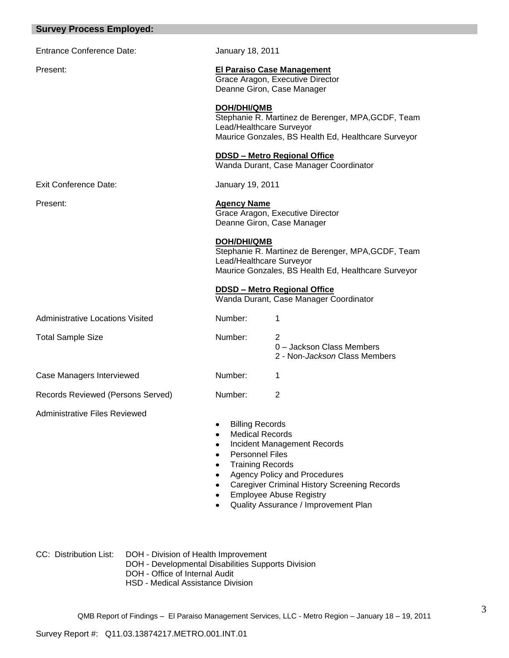| <b>Survey Process Employed:</b>         |                                                                                                       |                                                                                                                                                                                                     |
|-----------------------------------------|-------------------------------------------------------------------------------------------------------|-----------------------------------------------------------------------------------------------------------------------------------------------------------------------------------------------------|
| <b>Entrance Conference Date:</b>        | January 18, 2011                                                                                      |                                                                                                                                                                                                     |
| Present:                                | Deanne Giron, Case Manager                                                                            | <b>El Paraiso Case Management</b><br>Grace Aragon, Executive Director                                                                                                                               |
|                                         | DOH/DHI/QMB<br>Lead/Healthcare Surveyor                                                               | Stephanie R. Martinez de Berenger, MPA, GCDF, Team<br>Maurice Gonzales, BS Health Ed, Healthcare Surveyor                                                                                           |
|                                         |                                                                                                       | <b>DDSD - Metro Regional Office</b><br>Wanda Durant, Case Manager Coordinator                                                                                                                       |
| <b>Exit Conference Date:</b>            | January 19, 2011                                                                                      |                                                                                                                                                                                                     |
| Present:                                | <b>Agency Name</b><br>Deanne Giron, Case Manager                                                      | Grace Aragon, Executive Director                                                                                                                                                                    |
|                                         | DOH/DHI/QMB<br>Lead/Healthcare Surveyor                                                               | Stephanie R. Martinez de Berenger, MPA, GCDF, Team<br>Maurice Gonzales, BS Health Ed, Healthcare Surveyor<br><b>DDSD - Metro Regional Office</b>                                                    |
|                                         |                                                                                                       | Wanda Durant, Case Manager Coordinator                                                                                                                                                              |
| <b>Administrative Locations Visited</b> | Number:                                                                                               | 1                                                                                                                                                                                                   |
| <b>Total Sample Size</b>                | Number:                                                                                               | 2<br>0 - Jackson Class Members<br>2 - Non-Jackson Class Members                                                                                                                                     |
| Case Managers Interviewed               | Number:                                                                                               | 1                                                                                                                                                                                                   |
| Records Reviewed (Persons Served)       | Number:                                                                                               | 2                                                                                                                                                                                                   |
| <b>Administrative Files Reviewed</b>    | <b>Billing Records</b><br><b>Medical Records</b><br><b>Personnel Files</b><br><b>Training Records</b> | Incident Management Records<br><b>Agency Policy and Procedures</b><br><b>Caregiver Criminal History Screening Records</b><br><b>Employee Abuse Registry</b><br>Quality Assurance / Improvement Plan |

CC: Distribution List: DOH - Division of Health Improvement

DOH - Developmental Disabilities Supports Division

DOH - Office of Internal Audit

HSD - Medical Assistance Division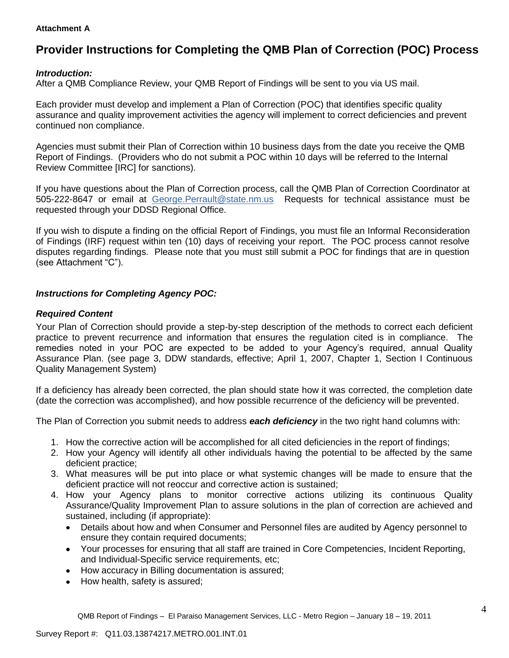#### **Attachment A**

# **Provider Instructions for Completing the QMB Plan of Correction (POC) Process**

#### *Introduction:*

After a QMB Compliance Review, your QMB Report of Findings will be sent to you via US mail.

Each provider must develop and implement a Plan of Correction (POC) that identifies specific quality assurance and quality improvement activities the agency will implement to correct deficiencies and prevent continued non compliance.

Agencies must submit their Plan of Correction within 10 business days from the date you receive the QMB Report of Findings. (Providers who do not submit a POC within 10 days will be referred to the Internal Review Committee [IRC] for sanctions).

If you have questions about the Plan of Correction process, call the QMB Plan of Correction Coordinator at 505-222-8647 or email at George.Perrault@state.nm.us Requests for technical assistance must be requested through your DDSD Regional Office.

If you wish to dispute a finding on the official Report of Findings, you must file an Informal Reconsideration of Findings (IRF) request within ten (10) days of receiving your report. The POC process cannot resolve disputes regarding findings. Please note that you must still submit a POC for findings that are in question (see Attachment "C").

#### *Instructions for Completing Agency POC:*

#### *Required Content*

Your Plan of Correction should provide a step-by-step description of the methods to correct each deficient practice to prevent recurrence and information that ensures the regulation cited is in compliance. The remedies noted in your POC are expected to be added to your Agency"s required, annual Quality Assurance Plan. (see page 3, DDW standards, effective; April 1, 2007, Chapter 1, Section I Continuous Quality Management System)

If a deficiency has already been corrected, the plan should state how it was corrected, the completion date (date the correction was accomplished), and how possible recurrence of the deficiency will be prevented.

The Plan of Correction you submit needs to address *each deficiency* in the two right hand columns with:

- 1. How the corrective action will be accomplished for all cited deficiencies in the report of findings;
- 2. How your Agency will identify all other individuals having the potential to be affected by the same deficient practice;
- 3. What measures will be put into place or what systemic changes will be made to ensure that the deficient practice will not reoccur and corrective action is sustained;
- 4. How your Agency plans to monitor corrective actions utilizing its continuous Quality Assurance/Quality Improvement Plan to assure solutions in the plan of correction are achieved and sustained, including (if appropriate):
	- Details about how and when Consumer and Personnel files are audited by Agency personnel to  $\bullet$ ensure they contain required documents;
	- Your processes for ensuring that all staff are trained in Core Competencies, Incident Reporting, and Individual-Specific service requirements, etc;
	- How accuracy in Billing documentation is assured;
	- How health, safety is assured;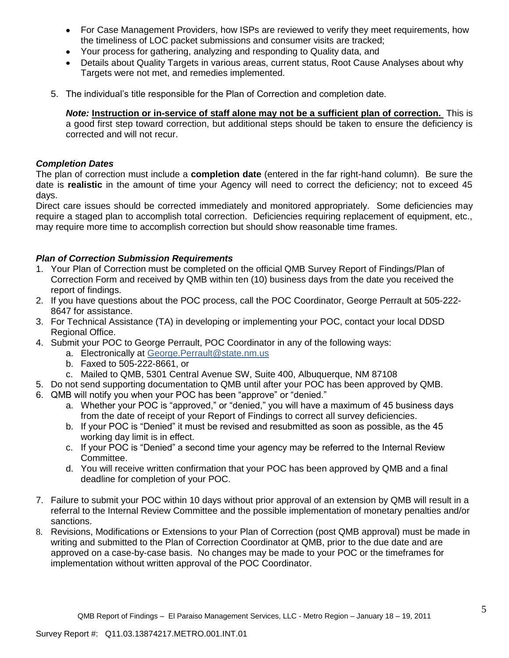- For Case Management Providers, how ISPs are reviewed to verify they meet requirements, how the timeliness of LOC packet submissions and consumer visits are tracked;
- Your process for gathering, analyzing and responding to Quality data, and
- Details about Quality Targets in various areas, current status, Root Cause Analyses about why Targets were not met, and remedies implemented.
- 5. The individual"s title responsible for the Plan of Correction and completion date.

*Note:* **Instruction or in-service of staff alone may not be a sufficient plan of correction.** This is a good first step toward correction, but additional steps should be taken to ensure the deficiency is corrected and will not recur.

#### *Completion Dates*

The plan of correction must include a **completion date** (entered in the far right-hand column). Be sure the date is **realistic** in the amount of time your Agency will need to correct the deficiency; not to exceed 45 days.

Direct care issues should be corrected immediately and monitored appropriately. Some deficiencies may require a staged plan to accomplish total correction. Deficiencies requiring replacement of equipment, etc., may require more time to accomplish correction but should show reasonable time frames.

### *Plan of Correction Submission Requirements*

- 1. Your Plan of Correction must be completed on the official QMB Survey Report of Findings/Plan of Correction Form and received by QMB within ten (10) business days from the date you received the report of findings.
- 2. If you have questions about the POC process, call the POC Coordinator, George Perrault at 505-222- 8647 for assistance.
- 3. For Technical Assistance (TA) in developing or implementing your POC, contact your local DDSD Regional Office.
- 4. Submit your POC to George Perrault, POC Coordinator in any of the following ways:
	- a. Electronically at [George.Perrault@state.nm.us](mailto:George.Perrault@state.nm.us)
	- b. Faxed to 505-222-8661, or
	- c. Mailed to QMB, 5301 Central Avenue SW, Suite 400, Albuquerque, NM 87108
- 5. Do not send supporting documentation to QMB until after your POC has been approved by QMB.
- 6. QMB will notify you when your POC has been "approve" or "denied."
	- a. Whether your POC is "approved," or "denied," you will have a maximum of 45 business days from the date of receipt of your Report of Findings to correct all survey deficiencies.
	- b. If your POC is "Denied" it must be revised and resubmitted as soon as possible, as the 45 working day limit is in effect.
	- c. If your POC is "Denied" a second time your agency may be referred to the Internal Review Committee.
	- d. You will receive written confirmation that your POC has been approved by QMB and a final deadline for completion of your POC.
- 7. Failure to submit your POC within 10 days without prior approval of an extension by QMB will result in a referral to the Internal Review Committee and the possible implementation of monetary penalties and/or sanctions.
- 8. Revisions, Modifications or Extensions to your Plan of Correction (post QMB approval) must be made in writing and submitted to the Plan of Correction Coordinator at QMB, prior to the due date and are approved on a case-by-case basis. No changes may be made to your POC or the timeframes for implementation without written approval of the POC Coordinator.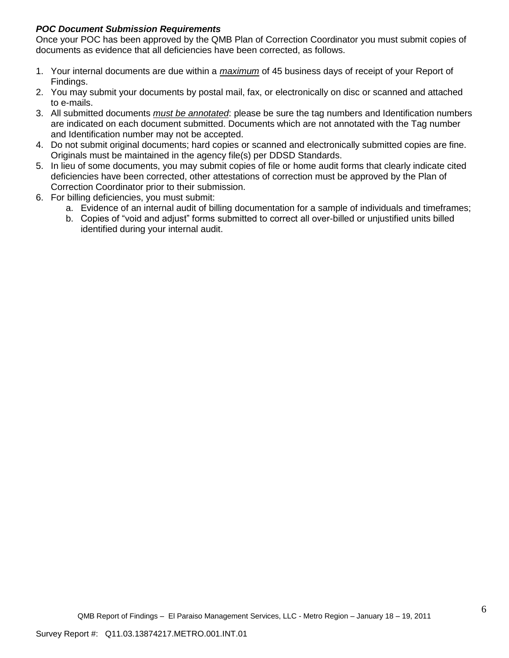### *POC Document Submission Requirements*

Once your POC has been approved by the QMB Plan of Correction Coordinator you must submit copies of documents as evidence that all deficiencies have been corrected, as follows.

- 1. Your internal documents are due within a *maximum* of 45 business days of receipt of your Report of Findings.
- 2. You may submit your documents by postal mail, fax, or electronically on disc or scanned and attached to e-mails.
- 3. All submitted documents *must be annotated*: please be sure the tag numbers and Identification numbers are indicated on each document submitted. Documents which are not annotated with the Tag number and Identification number may not be accepted.
- 4. Do not submit original documents; hard copies or scanned and electronically submitted copies are fine. Originals must be maintained in the agency file(s) per DDSD Standards.
- 5. In lieu of some documents, you may submit copies of file or home audit forms that clearly indicate cited deficiencies have been corrected, other attestations of correction must be approved by the Plan of Correction Coordinator prior to their submission.
- 6. For billing deficiencies, you must submit:
	- a. Evidence of an internal audit of billing documentation for a sample of individuals and timeframes;
	- b. Copies of "void and adjust" forms submitted to correct all over-billed or unjustified units billed identified during your internal audit.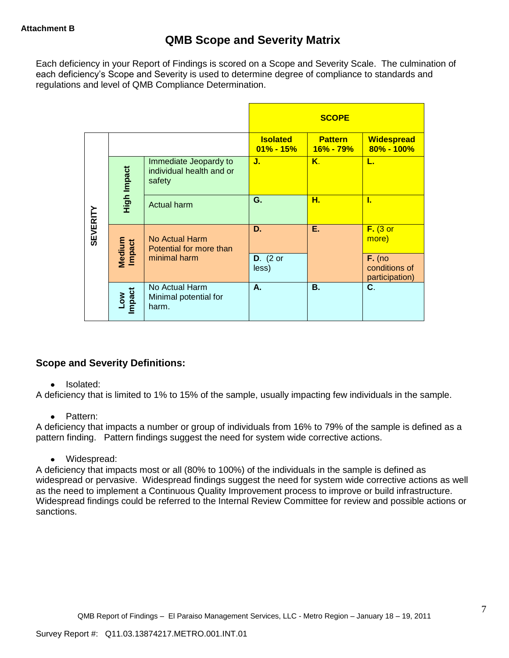Each deficiency in your Report of Findings is scored on a Scope and Severity Scale. The culmination of each deficiency"s Scope and Severity is used to determine degree of compliance to standards and regulations and level of QMB Compliance Determination.

|                 |                      |                                                             |                                  | <b>SCOPE</b>                    |                                             |
|-----------------|----------------------|-------------------------------------------------------------|----------------------------------|---------------------------------|---------------------------------------------|
|                 |                      |                                                             | <b>Isolated</b><br>$01\% - 15\%$ | <b>Pattern</b><br>$16\% - 79\%$ | <b>Widespread</b><br>$80\% - 100\%$         |
|                 | High Impact          | Immediate Jeopardy to<br>individual health and or<br>safety | J.                               | Κ.                              | L.                                          |
|                 |                      | <b>Actual harm</b>                                          | G.                               | н.                              | L                                           |
| <b>SEVERITY</b> | Medium<br>Impact     | No Actual Harm<br>Potential for more than                   | D.                               | Ε.                              | $F.$ (3 or<br>more)                         |
|                 |                      | minimal harm                                                | $D.$ (2 or<br>less)              |                                 | $F.$ (no<br>conditions of<br>participation) |
|                 | <b>Impact</b><br>Low | No Actual Harm<br>Minimal potential for<br>harm.            | А.                               | <b>B.</b>                       | C.                                          |

### **Scope and Severity Definitions:**

#### • Isolated:

A deficiency that is limited to 1% to 15% of the sample, usually impacting few individuals in the sample.

#### • Pattern:

A deficiency that impacts a number or group of individuals from 16% to 79% of the sample is defined as a pattern finding. Pattern findings suggest the need for system wide corrective actions.

Widespread:

A deficiency that impacts most or all (80% to 100%) of the individuals in the sample is defined as widespread or pervasive. Widespread findings suggest the need for system wide corrective actions as well as the need to implement a Continuous Quality Improvement process to improve or build infrastructure. Widespread findings could be referred to the Internal Review Committee for review and possible actions or sanctions.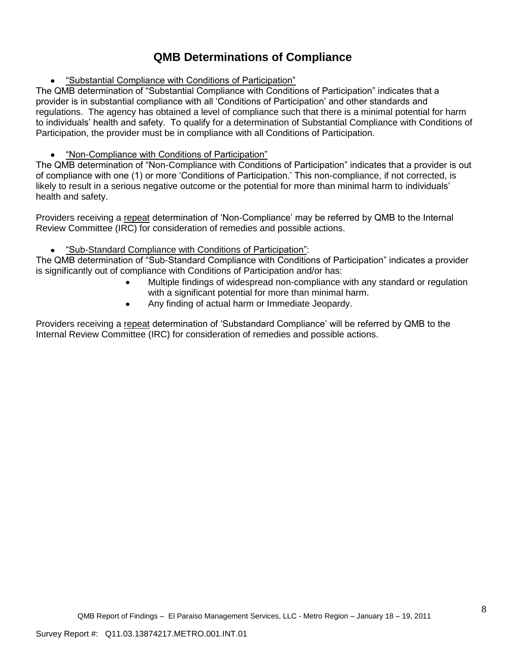# **QMB Determinations of Compliance**

"Substantial Compliance with Conditions of Participation"

The QMB determination of "Substantial Compliance with Conditions of Participation" indicates that a provider is in substantial compliance with all "Conditions of Participation" and other standards and regulations. The agency has obtained a level of compliance such that there is a minimal potential for harm to individuals" health and safety. To qualify for a determination of Substantial Compliance with Conditions of Participation, the provider must be in compliance with all Conditions of Participation.

## "Non-Compliance with Conditions of Participation"

The QMB determination of "Non-Compliance with Conditions of Participation" indicates that a provider is out of compliance with one (1) or more "Conditions of Participation." This non-compliance, if not corrected, is likely to result in a serious negative outcome or the potential for more than minimal harm to individuals' health and safety.

Providers receiving a repeat determination of "Non-Compliance" may be referred by QMB to the Internal Review Committee (IRC) for consideration of remedies and possible actions.

#### "Sub-Standard Compliance with Conditions of Participation":  $\bullet$

The QMB determination of "Sub-Standard Compliance with Conditions of Participation" indicates a provider is significantly out of compliance with Conditions of Participation and/or has:

- Multiple findings of widespread non-compliance with any standard or regulation with a significant potential for more than minimal harm.
- Any finding of actual harm or Immediate Jeopardy.  $\bullet$

Providers receiving a repeat determination of "Substandard Compliance" will be referred by QMB to the Internal Review Committee (IRC) for consideration of remedies and possible actions.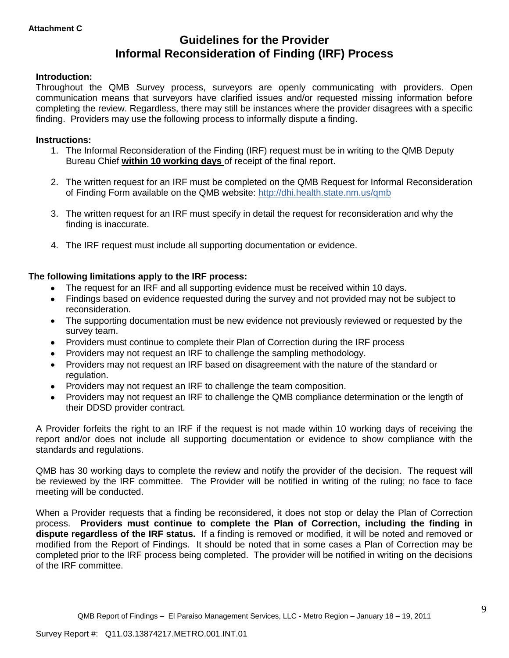# **Guidelines for the Provider Informal Reconsideration of Finding (IRF) Process**

#### **Introduction:**

Throughout the QMB Survey process, surveyors are openly communicating with providers. Open communication means that surveyors have clarified issues and/or requested missing information before completing the review. Regardless, there may still be instances where the provider disagrees with a specific finding. Providers may use the following process to informally dispute a finding.

#### **Instructions:**

- 1. The Informal Reconsideration of the Finding (IRF) request must be in writing to the QMB Deputy Bureau Chief **within 10 working days** of receipt of the final report.
- 2. The written request for an IRF must be completed on the QMB Request for Informal Reconsideration of Finding Form available on the QMB website:<http://dhi.health.state.nm.us/qmb>
- 3. The written request for an IRF must specify in detail the request for reconsideration and why the finding is inaccurate.
- 4. The IRF request must include all supporting documentation or evidence.

#### **The following limitations apply to the IRF process:**

- The request for an IRF and all supporting evidence must be received within 10 days.
- Findings based on evidence requested during the survey and not provided may not be subject to reconsideration.
- The supporting documentation must be new evidence not previously reviewed or requested by the survey team.
- Providers must continue to complete their Plan of Correction during the IRF process  $\bullet$
- Providers may not request an IRF to challenge the sampling methodology.
- Providers may not request an IRF based on disagreement with the nature of the standard or  $\bullet$ regulation.
- Providers may not request an IRF to challenge the team composition.
- Providers may not request an IRF to challenge the QMB compliance determination or the length of  $\bullet$ their DDSD provider contract.

A Provider forfeits the right to an IRF if the request is not made within 10 working days of receiving the report and/or does not include all supporting documentation or evidence to show compliance with the standards and regulations.

QMB has 30 working days to complete the review and notify the provider of the decision. The request will be reviewed by the IRF committee. The Provider will be notified in writing of the ruling; no face to face meeting will be conducted.

When a Provider requests that a finding be reconsidered, it does not stop or delay the Plan of Correction process. **Providers must continue to complete the Plan of Correction, including the finding in dispute regardless of the IRF status.** If a finding is removed or modified, it will be noted and removed or modified from the Report of Findings. It should be noted that in some cases a Plan of Correction may be completed prior to the IRF process being completed. The provider will be notified in writing on the decisions of the IRF committee.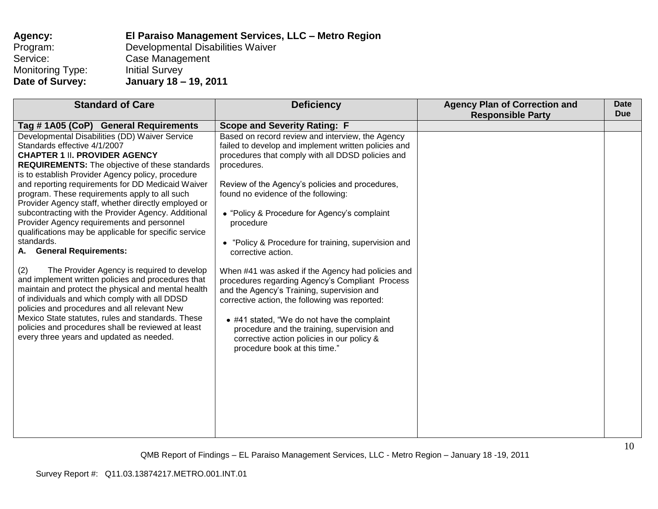| Agency:          | El Paraiso Management Services, LLC - Metro Region |
|------------------|----------------------------------------------------|
| Program:         | Developmental Disabilities Waiver                  |
| Service:         | Case Management                                    |
| Monitoring Type: | <b>Initial Survey</b>                              |
| Date of Survey:  | January 18 - 19, 2011                              |

| <b>Standard of Care</b>                                                                                                                                                                                                                                                                                                                                                                                                                                                                                                                                                                                                                                                                                                                                                                                                                                                                                                                                                                                                                       | <b>Deficiency</b>                                                                                                                                                                                                                                                                                                                                                                                                                                                                                                                                                                                                                                                                                                                                                                                     | <b>Agency Plan of Correction and</b><br><b>Responsible Party</b> | <b>Date</b><br><b>Due</b> |
|-----------------------------------------------------------------------------------------------------------------------------------------------------------------------------------------------------------------------------------------------------------------------------------------------------------------------------------------------------------------------------------------------------------------------------------------------------------------------------------------------------------------------------------------------------------------------------------------------------------------------------------------------------------------------------------------------------------------------------------------------------------------------------------------------------------------------------------------------------------------------------------------------------------------------------------------------------------------------------------------------------------------------------------------------|-------------------------------------------------------------------------------------------------------------------------------------------------------------------------------------------------------------------------------------------------------------------------------------------------------------------------------------------------------------------------------------------------------------------------------------------------------------------------------------------------------------------------------------------------------------------------------------------------------------------------------------------------------------------------------------------------------------------------------------------------------------------------------------------------------|------------------------------------------------------------------|---------------------------|
| Tag #1A05 (CoP) General Requirements                                                                                                                                                                                                                                                                                                                                                                                                                                                                                                                                                                                                                                                                                                                                                                                                                                                                                                                                                                                                          | <b>Scope and Severity Rating: F</b>                                                                                                                                                                                                                                                                                                                                                                                                                                                                                                                                                                                                                                                                                                                                                                   |                                                                  |                           |
| Developmental Disabilities (DD) Waiver Service<br>Standards effective 4/1/2007<br><b>CHAPTER 1 II. PROVIDER AGENCY</b><br><b>REQUIREMENTS:</b> The objective of these standards<br>is to establish Provider Agency policy, procedure<br>and reporting requirements for DD Medicaid Waiver<br>program. These requirements apply to all such<br>Provider Agency staff, whether directly employed or<br>subcontracting with the Provider Agency. Additional<br>Provider Agency requirements and personnel<br>qualifications may be applicable for specific service<br>standards.<br><b>General Requirements:</b><br>А.<br>(2)<br>The Provider Agency is required to develop<br>and implement written policies and procedures that<br>maintain and protect the physical and mental health<br>of individuals and which comply with all DDSD<br>policies and procedures and all relevant New<br>Mexico State statutes, rules and standards. These<br>policies and procedures shall be reviewed at least<br>every three years and updated as needed. | Based on record review and interview, the Agency<br>failed to develop and implement written policies and<br>procedures that comply with all DDSD policies and<br>procedures.<br>Review of the Agency's policies and procedures,<br>found no evidence of the following:<br>• "Policy & Procedure for Agency's complaint<br>procedure<br>• "Policy & Procedure for training, supervision and<br>corrective action.<br>When #41 was asked if the Agency had policies and<br>procedures regarding Agency's Compliant Process<br>and the Agency's Training, supervision and<br>corrective action, the following was reported:<br>• #41 stated, "We do not have the complaint<br>procedure and the training, supervision and<br>corrective action policies in our policy &<br>procedure book at this time." |                                                                  |                           |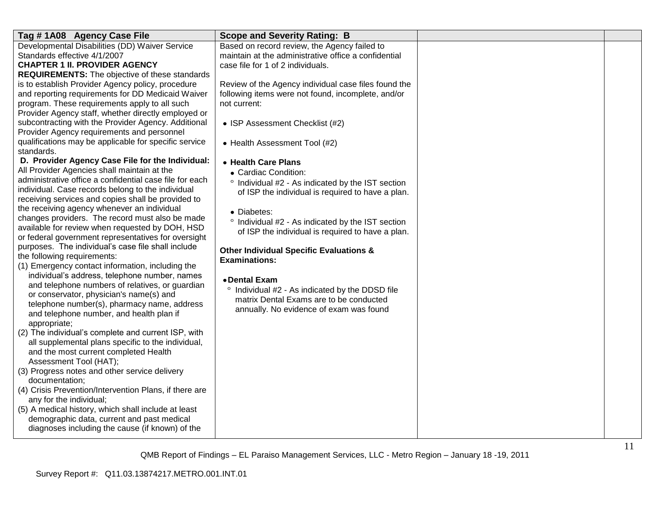| Tag #1A08 Agency Case File                              | <b>Scope and Severity Rating: B</b>                  |  |
|---------------------------------------------------------|------------------------------------------------------|--|
| Developmental Disabilities (DD) Waiver Service          | Based on record review, the Agency failed to         |  |
| Standards effective 4/1/2007                            | maintain at the administrative office a confidential |  |
| <b>CHAPTER 1 II. PROVIDER AGENCY</b>                    | case file for 1 of 2 individuals.                    |  |
| <b>REQUIREMENTS:</b> The objective of these standards   |                                                      |  |
| is to establish Provider Agency policy, procedure       | Review of the Agency individual case files found the |  |
| and reporting requirements for DD Medicaid Waiver       | following items were not found, incomplete, and/or   |  |
| program. These requirements apply to all such           | not current:                                         |  |
| Provider Agency staff, whether directly employed or     |                                                      |  |
| subcontracting with the Provider Agency. Additional     | • ISP Assessment Checklist (#2)                      |  |
| Provider Agency requirements and personnel              |                                                      |  |
| qualifications may be applicable for specific service   | • Health Assessment Tool (#2)                        |  |
| standards.                                              |                                                      |  |
| D. Provider Agency Case File for the Individual:        | • Health Care Plans                                  |  |
| All Provider Agencies shall maintain at the             | • Cardiac Condition:                                 |  |
| administrative office a confidential case file for each | ° Individual #2 - As indicated by the IST section    |  |
| individual. Case records belong to the individual       | of ISP the individual is required to have a plan.    |  |
| receiving services and copies shall be provided to      |                                                      |  |
| the receiving agency whenever an individual             | • Diabetes:                                          |  |
| changes providers. The record must also be made         | ° Individual #2 - As indicated by the IST section    |  |
| available for review when requested by DOH, HSD         | of ISP the individual is required to have a plan.    |  |
| or federal government representatives for oversight     |                                                      |  |
| purposes. The individual's case file shall include      | <b>Other Individual Specific Evaluations &amp;</b>   |  |
| the following requirements:                             | <b>Examinations:</b>                                 |  |
| (1) Emergency contact information, including the        |                                                      |  |
| individual's address, telephone number, names           | • Dental Exam                                        |  |
| and telephone numbers of relatives, or guardian         |                                                      |  |
| or conservator, physician's name(s) and                 | Individual #2 - As indicated by the DDSD file        |  |
| telephone number(s), pharmacy name, address             | matrix Dental Exams are to be conducted              |  |
| and telephone number, and health plan if                | annually. No evidence of exam was found              |  |
| appropriate;                                            |                                                      |  |
| (2) The individual's complete and current ISP, with     |                                                      |  |
| all supplemental plans specific to the individual,      |                                                      |  |
| and the most current completed Health                   |                                                      |  |
| Assessment Tool (HAT);                                  |                                                      |  |
| (3) Progress notes and other service delivery           |                                                      |  |
| documentation;                                          |                                                      |  |
| (4) Crisis Prevention/Intervention Plans, if there are  |                                                      |  |
| any for the individual;                                 |                                                      |  |
| (5) A medical history, which shall include at least     |                                                      |  |
| demographic data, current and past medical              |                                                      |  |
| diagnoses including the cause (if known) of the         |                                                      |  |
|                                                         |                                                      |  |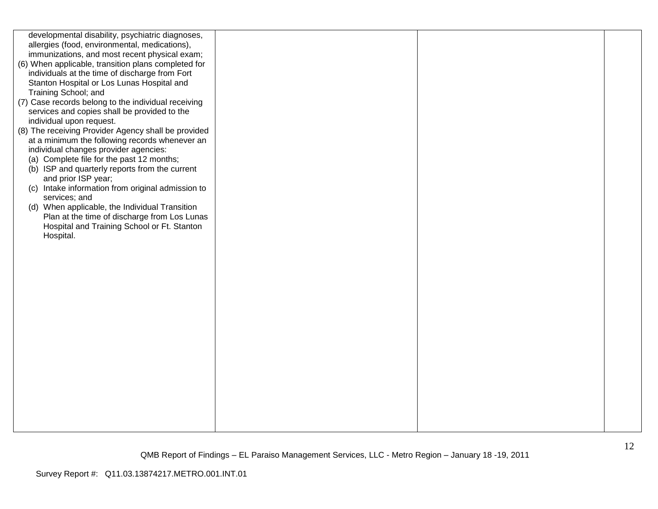| developmental disability, psychiatric diagnoses,    |  |  |
|-----------------------------------------------------|--|--|
| allergies (food, environmental, medications),       |  |  |
| immunizations, and most recent physical exam;       |  |  |
| (6) When applicable, transition plans completed for |  |  |
| individuals at the time of discharge from Fort      |  |  |
| Stanton Hospital or Los Lunas Hospital and          |  |  |
| Training School; and                                |  |  |
|                                                     |  |  |
| (7) Case records belong to the individual receiving |  |  |
| services and copies shall be provided to the        |  |  |
| individual upon request.                            |  |  |
| (8) The receiving Provider Agency shall be provided |  |  |
| at a minimum the following records whenever an      |  |  |
| individual changes provider agencies:               |  |  |
| (a) Complete file for the past 12 months;           |  |  |
| (b) ISP and quarterly reports from the current      |  |  |
| and prior ISP year;                                 |  |  |
| (c) Intake information from original admission to   |  |  |
| services; and                                       |  |  |
| (d) When applicable, the Individual Transition      |  |  |
| Plan at the time of discharge from Los Lunas        |  |  |
| Hospital and Training School or Ft. Stanton         |  |  |
| Hospital.                                           |  |  |
|                                                     |  |  |
|                                                     |  |  |
|                                                     |  |  |
|                                                     |  |  |
|                                                     |  |  |
|                                                     |  |  |
|                                                     |  |  |
|                                                     |  |  |
|                                                     |  |  |
|                                                     |  |  |
|                                                     |  |  |
|                                                     |  |  |
|                                                     |  |  |
|                                                     |  |  |
|                                                     |  |  |
|                                                     |  |  |
|                                                     |  |  |
|                                                     |  |  |
|                                                     |  |  |
|                                                     |  |  |
|                                                     |  |  |
|                                                     |  |  |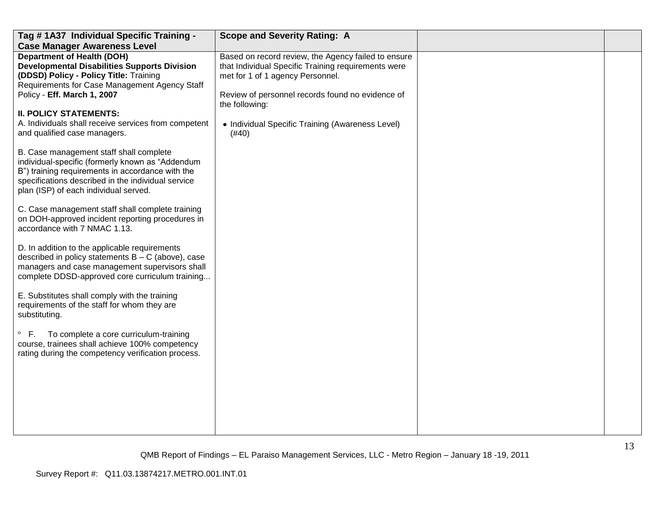| Tag # 1A37 Individual Specific Training -                                                                                                                                                                                                      | <b>Scope and Severity Rating: A</b>                                                                                                            |  |
|------------------------------------------------------------------------------------------------------------------------------------------------------------------------------------------------------------------------------------------------|------------------------------------------------------------------------------------------------------------------------------------------------|--|
| <b>Case Manager Awareness Level</b>                                                                                                                                                                                                            |                                                                                                                                                |  |
| <b>Department of Health (DOH)</b><br><b>Developmental Disabilities Supports Division</b><br>(DDSD) Policy - Policy Title: Training<br>Requirements for Case Management Agency Staff                                                            | Based on record review, the Agency failed to ensure<br>that Individual Specific Training requirements were<br>met for 1 of 1 agency Personnel. |  |
| Policy - Eff. March 1, 2007                                                                                                                                                                                                                    | Review of personnel records found no evidence of<br>the following:                                                                             |  |
| <b>II. POLICY STATEMENTS:</b>                                                                                                                                                                                                                  |                                                                                                                                                |  |
| A. Individuals shall receive services from competent<br>and qualified case managers.                                                                                                                                                           | • Individual Specific Training (Awareness Level)<br>(#40)                                                                                      |  |
| B. Case management staff shall complete<br>individual-specific (formerly known as "Addendum<br>B") training requirements in accordance with the<br>specifications described in the individual service<br>plan (ISP) of each individual served. |                                                                                                                                                |  |
| C. Case management staff shall complete training<br>on DOH-approved incident reporting procedures in<br>accordance with 7 NMAC 1.13.                                                                                                           |                                                                                                                                                |  |
| D. In addition to the applicable requirements<br>described in policy statements $B - C$ (above), case<br>managers and case management supervisors shall<br>complete DDSD-approved core curriculum training                                     |                                                                                                                                                |  |
| E. Substitutes shall comply with the training<br>requirements of the staff for whom they are<br>substituting.                                                                                                                                  |                                                                                                                                                |  |
| $\circ$ F.<br>To complete a core curriculum-training<br>course, trainees shall achieve 100% competency<br>rating during the competency verification process.                                                                                   |                                                                                                                                                |  |
|                                                                                                                                                                                                                                                |                                                                                                                                                |  |
|                                                                                                                                                                                                                                                |                                                                                                                                                |  |
|                                                                                                                                                                                                                                                |                                                                                                                                                |  |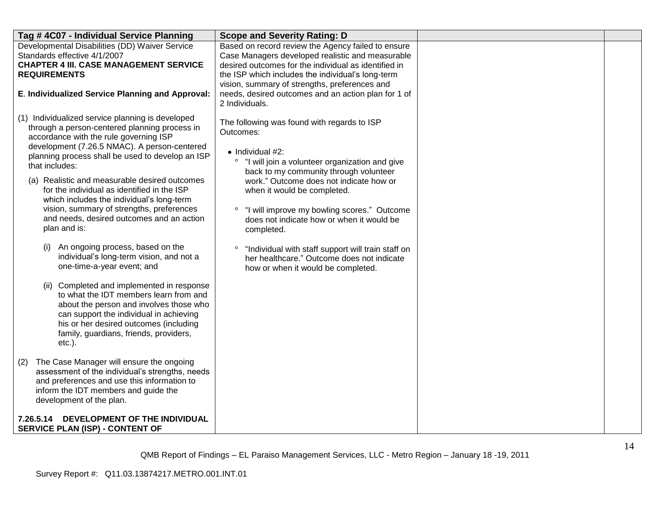| Tag #4C07 - Individual Service Planning                                                                                                                                                                                                                                                                                                                                                                                                                                                                                                                                                                                                                                                                                                                                                                                                                                                                         | <b>Scope and Severity Rating: D</b>                                                                                                                                                                                                                                                                                                                                                                                                                                                                                                             |  |
|-----------------------------------------------------------------------------------------------------------------------------------------------------------------------------------------------------------------------------------------------------------------------------------------------------------------------------------------------------------------------------------------------------------------------------------------------------------------------------------------------------------------------------------------------------------------------------------------------------------------------------------------------------------------------------------------------------------------------------------------------------------------------------------------------------------------------------------------------------------------------------------------------------------------|-------------------------------------------------------------------------------------------------------------------------------------------------------------------------------------------------------------------------------------------------------------------------------------------------------------------------------------------------------------------------------------------------------------------------------------------------------------------------------------------------------------------------------------------------|--|
| Developmental Disabilities (DD) Waiver Service<br>Standards effective 4/1/2007<br><b>CHAPTER 4 III. CASE MANAGEMENT SERVICE</b><br><b>REQUIREMENTS</b>                                                                                                                                                                                                                                                                                                                                                                                                                                                                                                                                                                                                                                                                                                                                                          | Based on record review the Agency failed to ensure<br>Case Managers developed realistic and measurable<br>desired outcomes for the individual as identified in<br>the ISP which includes the individual's long-term<br>vision, summary of strengths, preferences and                                                                                                                                                                                                                                                                            |  |
| E. Individualized Service Planning and Approval:                                                                                                                                                                                                                                                                                                                                                                                                                                                                                                                                                                                                                                                                                                                                                                                                                                                                | needs, desired outcomes and an action plan for 1 of<br>2 Individuals.                                                                                                                                                                                                                                                                                                                                                                                                                                                                           |  |
| (1) Individualized service planning is developed<br>through a person-centered planning process in<br>accordance with the rule governing ISP<br>development (7.26.5 NMAC). A person-centered<br>planning process shall be used to develop an ISP<br>that includes:<br>(a) Realistic and measurable desired outcomes<br>for the individual as identified in the ISP<br>which includes the individual's long-term<br>vision, summary of strengths, preferences<br>and needs, desired outcomes and an action<br>plan and is:<br>An ongoing process, based on the<br>(i)<br>individual's long-term vision, and not a<br>one-time-a-year event; and<br>(ii) Completed and implemented in response<br>to what the IDT members learn from and<br>about the person and involves those who<br>can support the individual in achieving<br>his or her desired outcomes (including<br>family, guardians, friends, providers, | The following was found with regards to ISP<br>Outcomes:<br>$\bullet$ Individual #2:<br>$\circ$<br>"I will join a volunteer organization and give<br>back to my community through volunteer<br>work." Outcome does not indicate how or<br>when it would be completed.<br>"I will improve my bowling scores." Outcome<br>$\circ$<br>does not indicate how or when it would be<br>completed.<br>"Individual with staff support will train staff on<br>$\circ$<br>her healthcare." Outcome does not indicate<br>how or when it would be completed. |  |
| $etc.$ ).<br>The Case Manager will ensure the ongoing<br>(2)<br>assessment of the individual's strengths, needs<br>and preferences and use this information to<br>inform the IDT members and guide the<br>development of the plan.                                                                                                                                                                                                                                                                                                                                                                                                                                                                                                                                                                                                                                                                              |                                                                                                                                                                                                                                                                                                                                                                                                                                                                                                                                                 |  |
| DEVELOPMENT OF THE INDIVIDUAL<br>7.26.5.14<br><b>SERVICE PLAN (ISP) - CONTENT OF</b>                                                                                                                                                                                                                                                                                                                                                                                                                                                                                                                                                                                                                                                                                                                                                                                                                            |                                                                                                                                                                                                                                                                                                                                                                                                                                                                                                                                                 |  |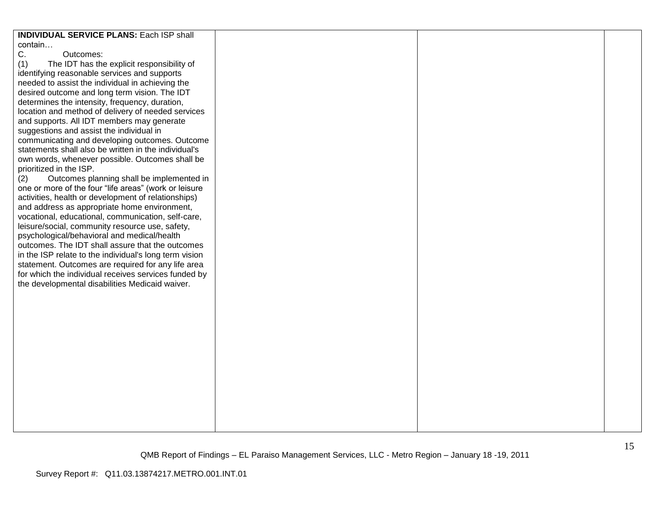| <b>INDIVIDUAL SERVICE PLANS: Each ISP shall</b>        |  |  |
|--------------------------------------------------------|--|--|
| contain                                                |  |  |
| C.<br>Outcomes:                                        |  |  |
| (1)<br>The IDT has the explicit responsibility of      |  |  |
| identifying reasonable services and supports           |  |  |
| needed to assist the individual in achieving the       |  |  |
|                                                        |  |  |
| desired outcome and long term vision. The IDT          |  |  |
| determines the intensity, frequency, duration,         |  |  |
| location and method of delivery of needed services     |  |  |
| and supports. All IDT members may generate             |  |  |
| suggestions and assist the individual in               |  |  |
| communicating and developing outcomes. Outcome         |  |  |
| statements shall also be written in the individual's   |  |  |
| own words, whenever possible. Outcomes shall be        |  |  |
|                                                        |  |  |
| prioritized in the ISP.                                |  |  |
| Outcomes planning shall be implemented in<br>(2)       |  |  |
| one or more of the four "life areas" (work or leisure  |  |  |
| activities, health or development of relationships)    |  |  |
| and address as appropriate home environment,           |  |  |
| vocational, educational, communication, self-care,     |  |  |
| leisure/social, community resource use, safety,        |  |  |
| psychological/behavioral and medical/health            |  |  |
| outcomes. The IDT shall assure that the outcomes       |  |  |
|                                                        |  |  |
| in the ISP relate to the individual's long term vision |  |  |
| statement. Outcomes are required for any life area     |  |  |
| for which the individual receives services funded by   |  |  |
| the developmental disabilities Medicaid waiver.        |  |  |
|                                                        |  |  |
|                                                        |  |  |
|                                                        |  |  |
|                                                        |  |  |
|                                                        |  |  |
|                                                        |  |  |
|                                                        |  |  |
|                                                        |  |  |
|                                                        |  |  |
|                                                        |  |  |
|                                                        |  |  |
|                                                        |  |  |
|                                                        |  |  |
|                                                        |  |  |
|                                                        |  |  |
|                                                        |  |  |
|                                                        |  |  |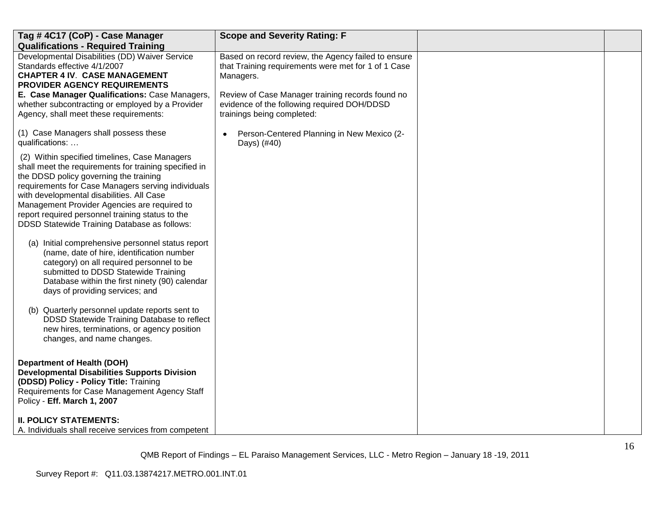| Tag #4C17 (CoP) - Case Manager                                                                                                                                                                                                                                                                                                                                                                          | <b>Scope and Severity Rating: F</b>                                                                                           |  |
|---------------------------------------------------------------------------------------------------------------------------------------------------------------------------------------------------------------------------------------------------------------------------------------------------------------------------------------------------------------------------------------------------------|-------------------------------------------------------------------------------------------------------------------------------|--|
| <b>Qualifications - Required Training</b>                                                                                                                                                                                                                                                                                                                                                               |                                                                                                                               |  |
| Developmental Disabilities (DD) Waiver Service<br>Standards effective 4/1/2007<br><b>CHAPTER 4 IV. CASE MANAGEMENT</b><br>PROVIDER AGENCY REQUIREMENTS                                                                                                                                                                                                                                                  | Based on record review, the Agency failed to ensure<br>that Training requirements were met for 1 of 1 Case<br>Managers.       |  |
| E. Case Manager Qualifications: Case Managers,<br>whether subcontracting or employed by a Provider<br>Agency, shall meet these requirements:                                                                                                                                                                                                                                                            | Review of Case Manager training records found no<br>evidence of the following required DOH/DDSD<br>trainings being completed: |  |
| (1) Case Managers shall possess these<br>qualifications:                                                                                                                                                                                                                                                                                                                                                | Person-Centered Planning in New Mexico (2-<br>Days) (#40)                                                                     |  |
| (2) Within specified timelines, Case Managers<br>shall meet the requirements for training specified in<br>the DDSD policy governing the training<br>requirements for Case Managers serving individuals<br>with developmental disabilities. All Case<br>Management Provider Agencies are required to<br>report required personnel training status to the<br>DDSD Statewide Training Database as follows: |                                                                                                                               |  |
| (a) Initial comprehensive personnel status report<br>(name, date of hire, identification number<br>category) on all required personnel to be<br>submitted to DDSD Statewide Training<br>Database within the first ninety (90) calendar<br>days of providing services; and                                                                                                                               |                                                                                                                               |  |
| (b) Quarterly personnel update reports sent to<br>DDSD Statewide Training Database to reflect<br>new hires, terminations, or agency position<br>changes, and name changes.                                                                                                                                                                                                                              |                                                                                                                               |  |
| <b>Department of Health (DOH)</b><br><b>Developmental Disabilities Supports Division</b><br>(DDSD) Policy - Policy Title: Training<br>Requirements for Case Management Agency Staff<br>Policy - Eff. March 1, 2007                                                                                                                                                                                      |                                                                                                                               |  |
| <b>II. POLICY STATEMENTS:</b><br>A. Individuals shall receive services from competent                                                                                                                                                                                                                                                                                                                   |                                                                                                                               |  |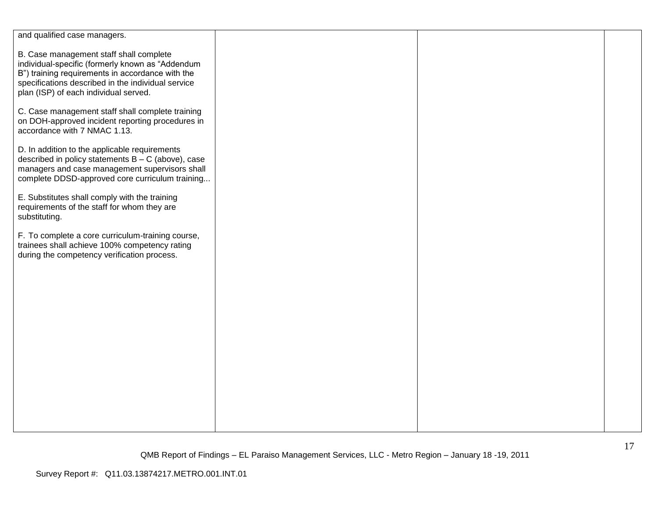| and qualified case managers.                                                                                                                                                                                                                   |  |  |
|------------------------------------------------------------------------------------------------------------------------------------------------------------------------------------------------------------------------------------------------|--|--|
| B. Case management staff shall complete<br>individual-specific (formerly known as "Addendum<br>B") training requirements in accordance with the<br>specifications described in the individual service<br>plan (ISP) of each individual served. |  |  |
| C. Case management staff shall complete training<br>on DOH-approved incident reporting procedures in<br>accordance with 7 NMAC 1.13.                                                                                                           |  |  |
| D. In addition to the applicable requirements<br>described in policy statements $B - C$ (above), case<br>managers and case management supervisors shall<br>complete DDSD-approved core curriculum training                                     |  |  |
| E. Substitutes shall comply with the training<br>requirements of the staff for whom they are<br>substituting.                                                                                                                                  |  |  |
| F. To complete a core curriculum-training course,<br>trainees shall achieve 100% competency rating<br>during the competency verification process.                                                                                              |  |  |
|                                                                                                                                                                                                                                                |  |  |
|                                                                                                                                                                                                                                                |  |  |
|                                                                                                                                                                                                                                                |  |  |
|                                                                                                                                                                                                                                                |  |  |
|                                                                                                                                                                                                                                                |  |  |
|                                                                                                                                                                                                                                                |  |  |
|                                                                                                                                                                                                                                                |  |  |